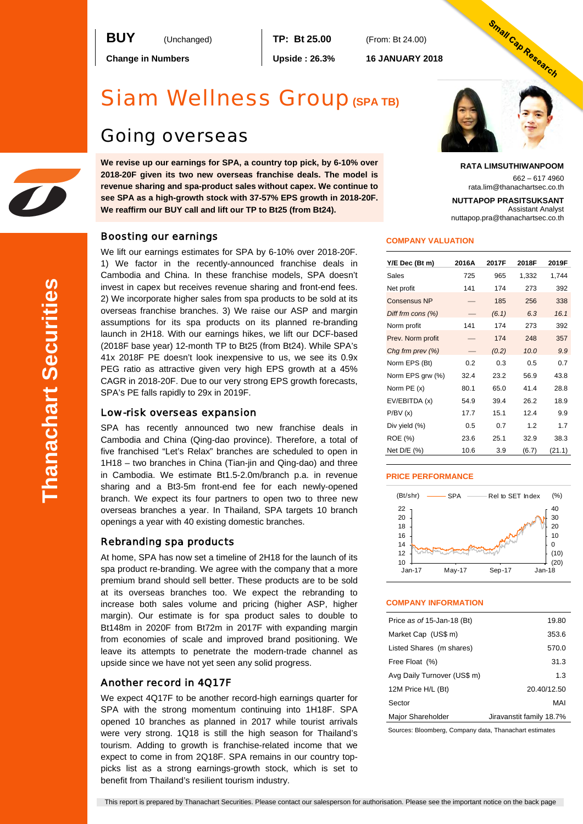

**Change in Numbers Upside : 26.3% 16 JANUARY 2018**

# Siam Wellness Group**(SPA TB)**

# Going overseas

**We revise up our earnings for SPA, a country top pick, by 6-10% over 2018-20F given its two new overseas franchise deals. The model is revenue sharing and spa-product sales without capex. We continue to see SPA as a high-growth stock with 37-57% EPS growth in 2018-20F. We reaffirm our BUY call and lift our TP to Bt25 (from Bt24).**

# Boosting our earnings

We lift our earnings estimates for SPA by 6-10% over 2018-20F. 1) We factor in the recently-announced franchise deals in Cambodia and China. In these franchise models, SPA doesn't invest in capex but receives revenue sharing and front-end fees. 2) We incorporate higher sales from spa products to be sold at its overseas franchise branches. 3) We raise our ASP and margin assumptions for its spa products on its planned re-branding launch in 2H18. With our earnings hikes, we lift our DCF-based (2018F base year) 12-month TP to Bt25 (from Bt24). While SPA's 41x 2018F PE doesn't look inexpensive to us, we see its 0.9x PEG ratio as attractive given very high EPS growth at a 45% CAGR in 2018-20F. Due to our very strong EPS growth forecasts, SPA's PE falls rapidly to 29x in 2019F.

### Low-risk overseas expansion

SPA has recently announced two new franchise deals in Cambodia and China (Qing-dao province). Therefore, a total of five franchised "Let's Relax" branches are scheduled to open in 1H18 – two branches in China (Tian-jin and Qing-dao) and three in Cambodia. We estimate Bt1.5-2.0m/branch p.a. in revenue sharing and a Bt3-5m front-end fee for each newly-opened branch. We expect its four partners to open two to three new overseas branches a year. In Thailand, SPA targets 10 branch openings a year with 40 existing domestic branches.

### Rebranding spa products

At home, SPA has now set a timeline of 2H18 for the launch of its spa product re-branding. We agree with the company that a more premium brand should sell better. These products are to be sold at its overseas branches too. We expect the rebranding to increase both sales volume and pricing (higher ASP, higher margin). Our estimate is for spa product sales to double to Bt148m in 2020F from Bt72m in 2017F with expanding margin from economies of scale and improved brand positioning. We leave its attempts to penetrate the modern-trade channel as upside since we have not yet seen any solid progress.

### Another record in 4Q17F

We expect 4Q17F to be another record-high earnings quarter for SPA with the strong momentum continuing into 1H18F. SPA opened 10 branches as planned in 2017 while tourist arrivals were very strong. 1Q18 is still the high season for Thailand's tourism. Adding to growth is franchise-related income that we expect to come in from 2Q18F. SPA remains in our country toppicks list as a strong earnings-growth stock, which is set to benefit from Thailand's resilient tourism industry.



#### **RATA LIMSUTHIWANPOOM**

662 – 617 4960 rata.lim@thanachartsec.co.th

**NUTTAPOP PRASITSUKSANT**

Assistant Analyst nuttapop.pra@thanachartsec.co.th

#### **COMPANY VALUATION**

| Y/E Dec (Bt m)       | 2016A | 2017F | 2018F | 2019F  |
|----------------------|-------|-------|-------|--------|
| Sales                | 725   | 965   | 1,332 | 1,744  |
| Net profit           | 141   | 174   | 273   | 392    |
| <b>Consensus NP</b>  |       | 185   | 256   | 338    |
| Diff frm cons $(\%)$ |       | (6.1) | 6.3   | 16.1   |
| Norm profit          | 141   | 174   | 273   | 392    |
| Prev. Norm profit    |       | 174   | 248   | 357    |
| Chg frm prev (%)     |       | (0.2) | 10.0  | 9.9    |
| Norm EPS (Bt)        | 0.2   | 0.3   | 0.5   | 0.7    |
| Norm EPS grw (%)     | 32.4  | 23.2  | 56.9  | 43.8   |
| Norm PE (x)          | 80.1  | 65.0  | 41.4  | 28.8   |
| EV/EBITDA (x)        | 54.9  | 39.4  | 26.2  | 18.9   |
| P/BV(x)              | 17.7  | 15.1  | 12.4  | 9.9    |
| Div yield (%)        | 0.5   | 0.7   | 1.2   | 1.7    |
| ROE (%)              | 23.6  | 25.1  | 32.9  | 38.3   |
| Net D/E (%)          | 10.6  | 3.9   | (6.7) | (21.1) |

### **PRICE PERFORMANCE**



#### **COMPANY INFORMATION**

| Price as of 15-Jan-18 (Bt)  | 19.80                    |
|-----------------------------|--------------------------|
| Market Cap (US\$ m)         | 353.6                    |
| Listed Shares (m shares)    | 570.0                    |
| Free Float (%)              | 31.3                     |
| Avg Daily Turnover (US\$ m) | 1.3                      |
| 12M Price H/L (Bt)          | 20.40/12.50              |
| Sector                      | MAI                      |
| Major Shareholder           | Jiravanstit family 18.7% |

Sources: Bloomberg, Company data, Thanachart estimates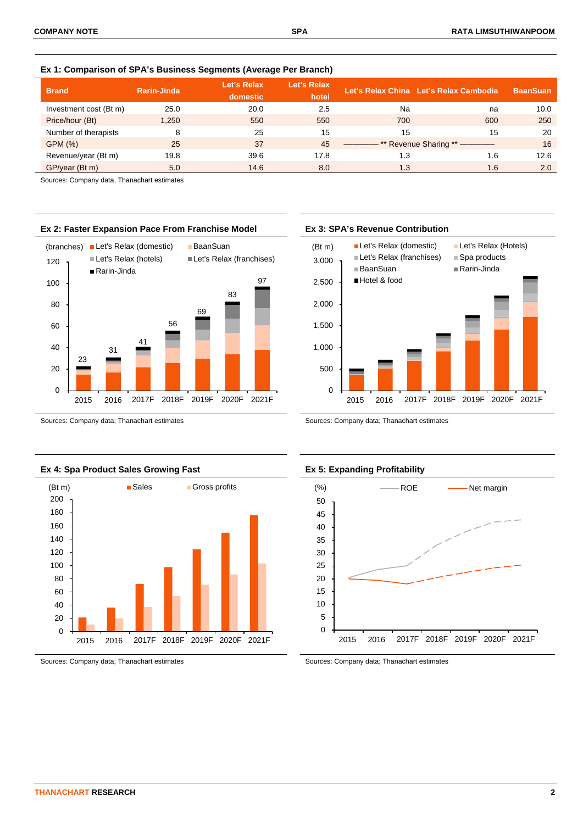| <b>Brand</b>           | Rarin-Jinda | Let's Relax<br>domestic | Let's Relax<br>hotel |     | Let's Relax China Let's Relax Cambodia | <b>BaanSuan</b> |
|------------------------|-------------|-------------------------|----------------------|-----|----------------------------------------|-----------------|
| Investment cost (Bt m) | 25.0        | 20.0                    | 2.5                  | Na  | na                                     | 10.0            |
| Price/hour (Bt)        | 1.250       | 550                     | 550                  | 700 | 600                                    | 250             |
| Number of therapists   | 8           | 25                      | 15                   | 15  | 15                                     | 20              |
| GPM (%)                | 25          | 37                      | 45                   |     | ** Revenue Sharing ** --------         | 16              |
| Revenue/year (Bt m)    | 19.8        | 39.6                    | 17.8                 | 1.3 | 1.6                                    | 12.6            |
| GP/year (Bt m)         | 5.0         | 14.6                    | 8.0                  | 1.3 | 1.6                                    | 2.0             |

**Ex 1: Comparison of SPA's Business Segments (Average Per Branch)**

Sources: Company data, Thanachart estimates



Sources: Company data; Thanachart estimates Sources: Company data; Thanachart estimates





Sources: Company data; Thanachart estimates Sources: Company data; Thanachart estimates

## **Ex 2: Faster Expansion Pace From Franchise Model Ex 3: SPA's Revenue Contribution**



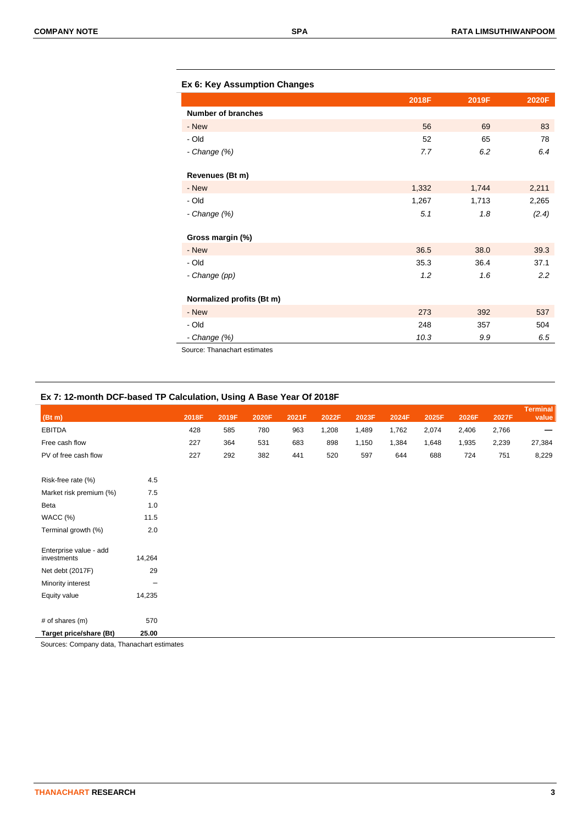|  |  | Ex 6: Key Assumption Changes |  |
|--|--|------------------------------|--|
|--|--|------------------------------|--|

|                              | 2018F | 2019F | 2020F |
|------------------------------|-------|-------|-------|
| <b>Number of branches</b>    |       |       |       |
| - New                        | 56    | 69    | 83    |
| - Old                        | 52    | 65    | 78    |
| - Change (%)                 | 7.7   | 6.2   | 6.4   |
| Revenues (Bt m)              |       |       |       |
| - New                        | 1,332 | 1,744 | 2,211 |
| - Old                        | 1,267 | 1,713 | 2,265 |
| - Change $(\%)$              | 5.1   | 1.8   | (2.4) |
| Gross margin (%)             |       |       |       |
| - New                        | 36.5  | 38.0  | 39.3  |
| - Old                        | 35.3  | 36.4  | 37.1  |
| - Change (pp)                | 1.2   | 1.6   | 2.2   |
| Normalized profits (Bt m)    |       |       |       |
| - New                        | 273   | 392   | 537   |
| - Old                        | 248   | 357   | 504   |
| - Change (%)                 | 10.3  | 9.9   | 6.5   |
| Source: Thanachart estimates |       |       |       |

# **Ex 7: 12-month DCF-based TP Calculation, Using A Base Year Of 2018F**

| (Bt m)                                |        | 2018F | 2019F | 2020F | 2021F | 2022F | 2023F | 2024F | 2025F | 2026F | 2027F | <b>Terminal</b><br>value |
|---------------------------------------|--------|-------|-------|-------|-------|-------|-------|-------|-------|-------|-------|--------------------------|
| <b>EBITDA</b>                         |        | 428   | 585   | 780   | 963   | 1,208 | 1,489 | 1,762 | 2,074 | 2,406 | 2,766 |                          |
| Free cash flow                        |        | 227   | 364   | 531   | 683   | 898   | 1,150 | 1,384 | 1,648 | 1,935 | 2,239 | 27,384                   |
| PV of free cash flow                  |        | 227   | 292   | 382   | 441   | 520   | 597   | 644   | 688   | 724   | 751   | 8,229                    |
| Risk-free rate (%)                    | 4.5    |       |       |       |       |       |       |       |       |       |       |                          |
| Market risk premium (%)               | 7.5    |       |       |       |       |       |       |       |       |       |       |                          |
|                                       |        |       |       |       |       |       |       |       |       |       |       |                          |
| Beta                                  | 1.0    |       |       |       |       |       |       |       |       |       |       |                          |
| WACC (%)                              | 11.5   |       |       |       |       |       |       |       |       |       |       |                          |
| Terminal growth (%)                   | 2.0    |       |       |       |       |       |       |       |       |       |       |                          |
| Enterprise value - add<br>investments | 14,264 |       |       |       |       |       |       |       |       |       |       |                          |
| Net debt (2017F)                      | 29     |       |       |       |       |       |       |       |       |       |       |                          |
| Minority interest                     | -      |       |       |       |       |       |       |       |       |       |       |                          |
| Equity value                          | 14,235 |       |       |       |       |       |       |       |       |       |       |                          |
|                                       |        |       |       |       |       |       |       |       |       |       |       |                          |
| # of shares (m)                       | 570    |       |       |       |       |       |       |       |       |       |       |                          |
| Target price/share (Bt)               | 25.00  |       |       |       |       |       |       |       |       |       |       |                          |

Sources: Company data, Thanachart estimates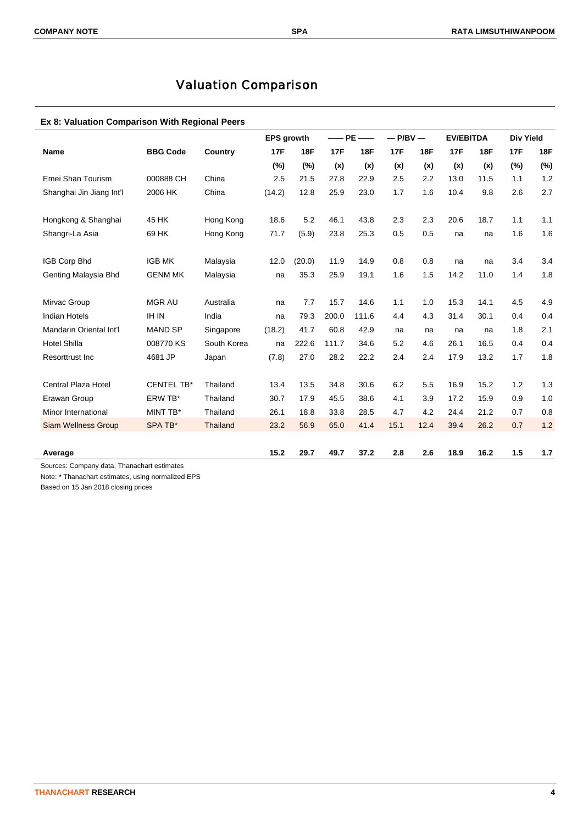# Valuation Comparison

## **Ex 8: Valuation Comparison With Regional Peers**

|                                                        |                   |             | <b>EPS growth</b> |            | $-\!\!-\!\!$ PE | $\hspace{0.05cm}$ | $-P/BV -$  |            | <b>EV/EBITDA</b> |            | <b>Div Yield</b> |            |
|--------------------------------------------------------|-------------------|-------------|-------------------|------------|-----------------|-------------------|------------|------------|------------------|------------|------------------|------------|
| <b>Name</b>                                            | <b>BBG Code</b>   | Country     | <b>17F</b>        | <b>18F</b> | <b>17F</b>      | <b>18F</b>        | <b>17F</b> | <b>18F</b> | <b>17F</b>       | <b>18F</b> | <b>17F</b>       | <b>18F</b> |
|                                                        |                   |             | (%)               | (%)        | (x)             | (x)               | (x)        | (x)        | (x)              | (x)        | $(\%)$           | (%)        |
| Emei Shan Tourism                                      | 000888 CH         | China       | 2.5               | 21.5       | 27.8            | 22.9              | 2.5        | 2.2        | 13.0             | 11.5       | 1.1              | 1.2        |
| Shanghai Jin Jiang Int'l                               | 2006 HK           | China       | (14.2)            | 12.8       | 25.9            | 23.0              | 1.7        | 1.6        | 10.4             | 9.8        | 2.6              | 2.7        |
| Hongkong & Shanghai                                    | 45 HK             | Hong Kong   | 18.6              | 5.2        | 46.1            | 43.8              | 2.3        | 2.3        | 20.6             | 18.7       | 1.1              | 1.1        |
| Shangri-La Asia                                        | 69 HK             | Hong Kong   | 71.7              | (5.9)      | 23.8            | 25.3              | 0.5        | 0.5        | na               | na         | 1.6              | 1.6        |
| <b>IGB Corp Bhd</b>                                    | <b>IGB MK</b>     | Malaysia    | 12.0              | (20.0)     | 11.9            | 14.9              | 0.8        | 0.8        | na               | na         | 3.4              | 3.4        |
| Genting Malaysia Bhd                                   | <b>GENM MK</b>    | Malaysia    | na                | 35.3       | 25.9            | 19.1              | 1.6        | 1.5        | 14.2             | 11.0       | 1.4              | 1.8        |
| Mirvac Group                                           | <b>MGR AU</b>     | Australia   | na                | 7.7        | 15.7            | 14.6              | 1.1        | 1.0        | 15.3             | 14.1       | 4.5              | 4.9        |
| <b>Indian Hotels</b>                                   | <b>IH IN</b>      | India       | na                | 79.3       | 200.0           | 111.6             | 4.4        | 4.3        | 31.4             | 30.1       | 0.4              | 0.4        |
| Mandarin Oriental Int'l                                | <b>MAND SP</b>    | Singapore   | (18.2)            | 41.7       | 60.8            | 42.9              | na         | na         | na               | na         | 1.8              | 2.1        |
| <b>Hotel Shilla</b>                                    | 008770 KS         | South Korea | na                | 222.6      | 111.7           | 34.6              | 5.2        | 4.6        | 26.1             | 16.5       | 0.4              | 0.4        |
| Resorttrust Inc                                        | 4681 JP           | Japan       | (7.8)             | 27.0       | 28.2            | 22.2              | 2.4        | 2.4        | 17.9             | 13.2       | 1.7              | 1.8        |
| Central Plaza Hotel                                    | <b>CENTEL TB*</b> | Thailand    | 13.4              | 13.5       | 34.8            | 30.6              | 6.2        | 5.5        | 16.9             | 15.2       | 1.2              | 1.3        |
| Erawan Group                                           | ERW TB*           | Thailand    | 30.7              | 17.9       | 45.5            | 38.6              | 4.1        | 3.9        | 17.2             | 15.9       | 0.9              | 1.0        |
| Minor International                                    | MINT TB*          | Thailand    | 26.1              | 18.8       | 33.8            | 28.5              | 4.7        | 4.2        | 24.4             | 21.2       | 0.7              | 0.8        |
| <b>Siam Wellness Group</b>                             | SPA TB*           | Thailand    | 23.2              | 56.9       | 65.0            | 41.4              | 15.1       | 12.4       | 39.4             | 26.2       | 0.7              | 1.2        |
| Average<br>Sources: Company data. Thanachart ostimates |                   |             | 15.2              | 29.7       | 49.7            | 37.2              | 2.8        | 2.6        | 18.9             | 16.2       | 1.5              | 1.7        |

Sources: Company data, Thanachart estima

Note: \* Thanachart estimates, using normalized EPS

Based on 15 Jan 2018 closing prices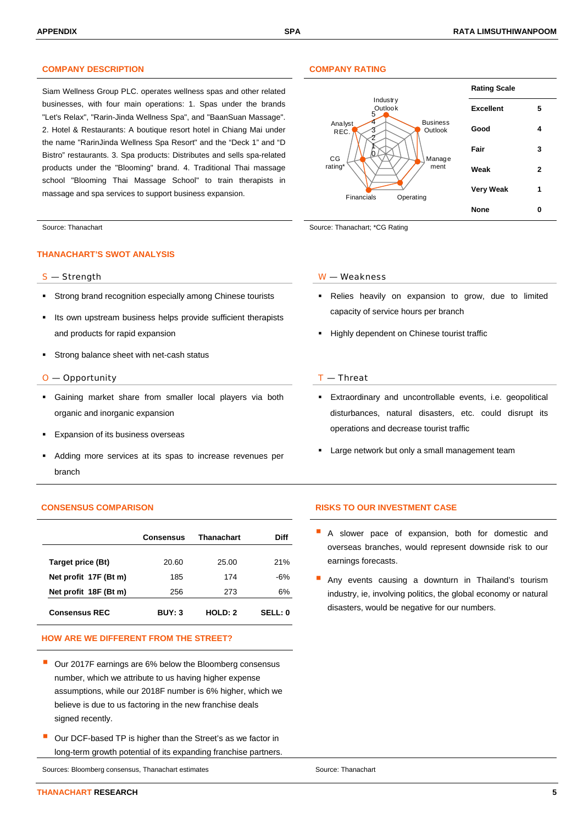### **COMPANY DESCRIPTION COMPANY RATING**

Siam Wellness Group PLC. operates wellness spas and other related businesses, with four main operations: 1. Spas under the brands "Let's Relax", "Rarin-Jinda Wellness Spa", and "BaanSuan Massage". 2. Hotel & Restaurants: A boutique resort hotel in Chiang Mai under the name "RarinJinda Wellness Spa Resort" and the "Deck 1" and "D Bistro" restaurants. 3. Spa products: Distributes and sells spa-related products under the "Blooming" brand. 4. Traditional Thai massage school "Blooming Thai Massage School" to train therapists in massage and spa services to support business expansion.

#### **THANACHART'S SWOT ANALYSIS**

- Strong brand recognition especially among Chinese tourists
- Its own upstream business helps provide sufficient therapists and products for rapid expansion
- Strong balance sheet with net-cash status

#### $O$  — Opportunity  $I$  — Threat

- Gaining market share from smaller local players via both organic and inorganic expansion
- Expansion of its business overseas
- Adding more services at its spas to increase revenues per branch

|                       | Consensus     | Thanachart | Diff           |
|-----------------------|---------------|------------|----------------|
| Target price (Bt)     | 20.60         | 25.00      | 21%            |
| Net profit 17F (Bt m) | 185           | 174        | -6%            |
| Net profit 18F (Bt m) | 256           | 273        | 6%             |
| <b>Consensus REC</b>  | <b>BUY: 3</b> | HOLD: 2    | <b>SELL: 0</b> |

### **HOW ARE WE DIFFERENT FROM THE STREET?**

- Our 2017F earnings are 6% below the Bloomberg consensus number, which we attribute to us having higher expense assumptions, while our 2018F number is 6% higher, which we believe is due to us factoring in the new franchise deals signed recently.
- Our DCF-based TP is higher than the Street's as we factor in long-term growth potential of its expanding franchise partners.

Sources: Bloomberg consensus, Thanachart estimates Source: Thanachart estimates Source: Thanachart



Source: Thanachart Source: Thanachart Source: Thanachart; \*CG Rating

#### S — Strength W — Weakness

- Relies heavily on expansion to grow, due to limited capacity of service hours per branch
- **Highly dependent on Chinese tourist traffic**

- Extraordinary and uncontrollable events, i.e. geopolitical disturbances, natural disasters, etc. could disrupt its operations and decrease tourist traffic
- Large network but only a small management team

#### **CONSENSUS COMPARISON RISKS TO OUR INVESTMENT CASE**

- A slower pace of expansion, both for domestic and overseas branches, would represent downside risk to our earnings forecasts.
- Any events causing a downturn in Thailand's tourism industry, ie, involving politics, the global economy or natural disasters, would be negative for our numbers.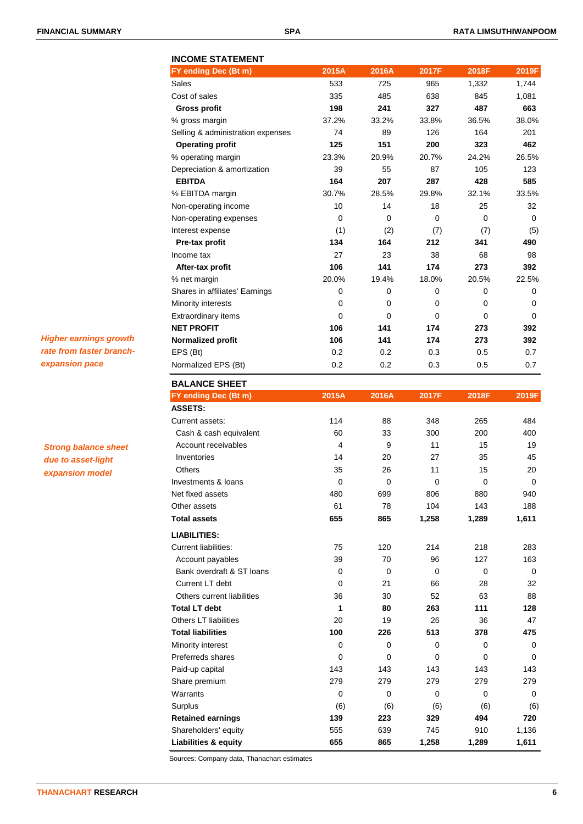# **INCOME STATEMENT FY ending Dec (Bt m) 2015A 2016A 2017F 2018F 2019F** Sales 533 725 965 1,332 1,744 Cost of sales 335 485 638 845 1,081  **Gross profit 198 241 327 487 663** % gross margin 37.2% 33.2% 33.8% 36.5% 38.0% Selling & administration expenses  $74$  89 126 164 201  **Operating profit 125 151 200 323 462** % operating margin 23.3% 20.9% 20.7% 24.2% 26.5% Depreciation & amortization  $\overline{39}$  55 87 105 123  **EBITDA 164 207 287 428 585** % EBITDA margin 30.7% 28.5% 29.8% 32.1% 33.5% Non-operating income 10 10 14 18 25 32 Non-operating expenses 0 0 0 0 0 Interest expense  $(1)$   $(2)$   $(7)$   $(7)$   $(5)$  **Pre-tax profit 134 164 212 341 490** Income tax 27 23 38 68 98  **After-tax profit 106 141 174 273 392** % net margin 20.0% 19.4% 18.0% 20.5% 22.5% Shares in affiliates' Earnings  $\begin{array}{cccc} 0 & 0 & 0 & 0 \end{array}$ Minority interests  $\begin{array}{ccccccc} & & & & 0 & & 0 & & 0 & & 0 \end{array}$ Extraordinary items 0 0 0 0 0 **NET PROFIT 106 141 174 273 392 Normalized profit 106 141 174 273 392** EPS (Bt) 0.2 0.2 0.3 0.5 0.7 Normalized EPS (Bt)  $0.2$  0.2 0.3 0.5 0.7 **BALANCE SHEET FY ending Dec (Bt m) 2015A 2016A 2017F 2018F 2019F ASSETS:** Current assets: 114 88 348 265 484 Cash & cash equivalent 60 33 300 200 400 Account receivables 19 14 15 19 11 15 19 Inventories 14 20 27 35 45 Others 20 26 11 15 20

Investments & loans and the control of the control of the control of the control of the control of the control o Net fixed assets 1940 480 699 806 880 940 Other assets 61 78 104 143 188 **Total assets 655 865 1,258 1,289 1,611**

Current liabilities: 75 120 214 218 283 Account payables 39 70 96 127 163 Bank overdraft & ST loans 0 0 0 0 0 Current LT debt 0 21 66 28 32 Others current liabilities 10 36 30 52 63 88 **Total LT debt 1 80 263 111 128** Others LT liabilities 20 19 26 36 47 **Total liabilities 100 226 513 378 475** Minority interest  $\begin{array}{ccccccc} & 0 & & 0 & & 0 & & 0 \end{array}$ Preferreds shares 0 0 0 0 0 Paid-up capital 143 143 143 143 143 143 143 Share premium 279 279 279 279 279 Warrants 0 0 0 0 0 Surplus (6) (6) (6) (6) (6) **Retained earnings 139 223 329 494 720** Shareholders' equity 555 639 745 910 1,136 **Liabilities & equity 655 865 1,258 1,289 1,611**

*Higher earnings growth rate from faster branchexpansion pace*

*Strong balance sheet due to asset-light expansion model*

| Sources: Company data, Thanachart estimates |  |
|---------------------------------------------|--|
|                                             |  |
|                                             |  |

**LIABILITIES:**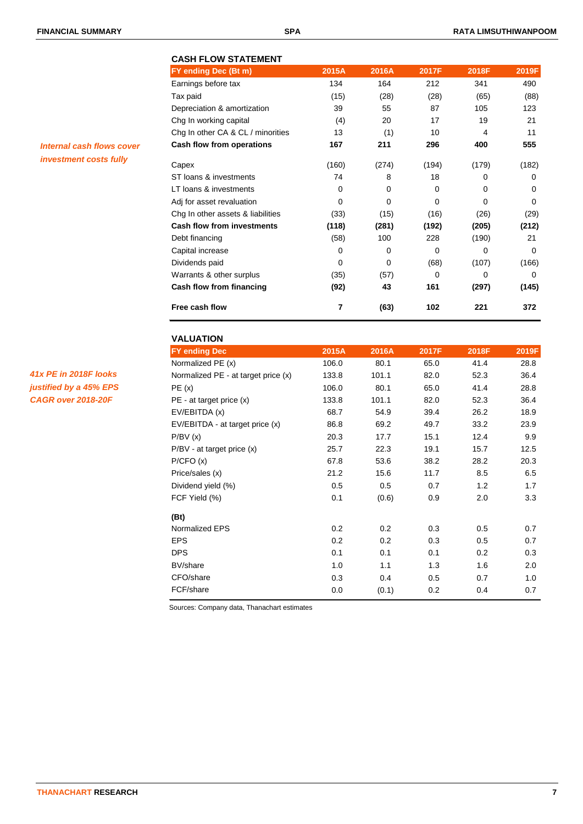*Internal cash flows cover investment costs fully*

|                                   | 2015A       | 2016A    | 2017F    | 2018F    | 2019F    |
|-----------------------------------|-------------|----------|----------|----------|----------|
| FY ending Dec (Bt m)              |             |          |          |          |          |
| Earnings before tax               | 134         | 164      | 212      | 341      | 490      |
| Tax paid                          | (15)        | (28)     | (28)     | (65)     | (88)     |
| Depreciation & amortization       | 39          | 55       | 87       | 105      | 123      |
| Chg In working capital            | (4)         | 20       | 17       | 19       | 21       |
| Chg In other CA & CL / minorities | 13          | (1)      | 10       | 4        | 11       |
| Cash flow from operations         | 167         | 211      | 296      | 400      | 555      |
| Capex                             | (160)       | (274)    | (194)    | (179)    | (182)    |
| ST loans & investments            | 74          | 8        | 18       | 0        | 0        |
| LT loans & investments            | $\Omega$    | $\Omega$ | $\Omega$ | $\Omega$ | $\Omega$ |
| Adj for asset revaluation         | $\Omega$    | 0        | $\Omega$ | $\Omega$ | $\Omega$ |
| Chg In other assets & liabilities | (33)        | (15)     | (16)     | (26)     | (29)     |
| <b>Cash flow from investments</b> | (118)       | (281)    | (192)    | (205)    | (212)    |
| Debt financing                    | (58)        | 100      | 228      | (190)    | 21       |
| Capital increase                  | $\Omega$    | 0        | 0        | $\Omega$ | 0        |
| Dividends paid                    | $\mathbf 0$ | 0        | (68)     | (107)    | (166)    |
| Warrants & other surplus          | (35)        | (57)     | 0        | $\Omega$ | 0        |
| Cash flow from financing          | (92)        | 43       | 161      | (297)    | (145)    |
| Free cash flow                    | 7           | (63)     | 102      | 221      | 372      |

| <b>VALUATION</b>                    |       |       |       |       |       |
|-------------------------------------|-------|-------|-------|-------|-------|
| <b>FY ending Dec</b>                | 2015A | 2016A | 2017F | 2018F | 2019F |
| Normalized PE (x)                   | 106.0 | 80.1  | 65.0  | 41.4  | 28.8  |
| Normalized PE - at target price (x) | 133.8 | 101.1 | 82.0  | 52.3  | 36.4  |
| PE(x)                               | 106.0 | 80.1  | 65.0  | 41.4  | 28.8  |
| $PE - at target price (x)$          | 133.8 | 101.1 | 82.0  | 52.3  | 36.4  |
| EV/EBITDA (x)                       | 68.7  | 54.9  | 39.4  | 26.2  | 18.9  |
| EV/EBITDA - at target price (x)     | 86.8  | 69.2  | 49.7  | 33.2  | 23.9  |
| P/BV(x)                             | 20.3  | 17.7  | 15.1  | 12.4  | 9.9   |
| $P/BV - at target price (x)$        | 25.7  | 22.3  | 19.1  | 15.7  | 12.5  |
| P/CFO(x)                            | 67.8  | 53.6  | 38.2  | 28.2  | 20.3  |
| Price/sales (x)                     | 21.2  | 15.6  | 11.7  | 8.5   | 6.5   |
| Dividend yield (%)                  | 0.5   | 0.5   | 0.7   | 1.2   | 1.7   |
| FCF Yield (%)                       | 0.1   | (0.6) | 0.9   | 2.0   | 3.3   |
| (Bt)                                |       |       |       |       |       |
| Normalized EPS                      | 0.2   | 0.2   | 0.3   | 0.5   | 0.7   |
| <b>EPS</b>                          | 0.2   | 0.2   | 0.3   | 0.5   | 0.7   |
| <b>DPS</b>                          | 0.1   | 0.1   | 0.1   | 0.2   | 0.3   |
| BV/share                            | 1.0   | 1.1   | 1.3   | 1.6   | 2.0   |
| CFO/share                           | 0.3   | 0.4   | 0.5   | 0.7   | 1.0   |
| FCF/share                           | 0.0   | (0.1) | 0.2   | 0.4   | 0.7   |

Sources: Company data, Thanachart estimates

*41x PE in 2018F looks justified by a 45% EPS CAGR over 2018-20F*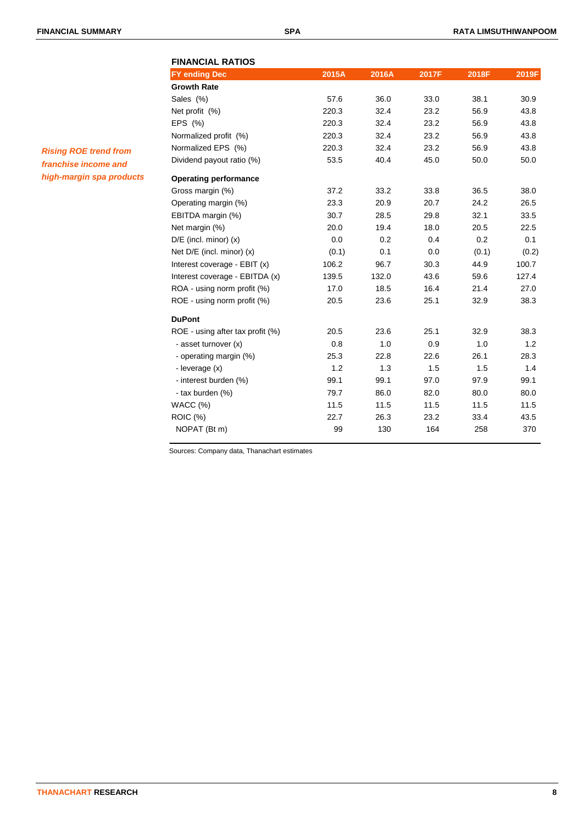# **FINANCIAL RATIOS FY ending Dec 2015A 2016A 2017F 2018F 2019F Growth Rate** Sales (%) 57.6 36.0 33.0 38.1 30.9 Net profit (%) 220.3 32.4 23.2 56.9 43.8 EPS (%) 220.3 32.4 23.2 56.9 43.8 Normalized profit (%) 220.3 32.4 23.2 56.9 43.8 Normalized EPS (%) 220.3 32.4 23.2 56.9 43.8 Dividend payout ratio (%) 53.5 40.4 45.0 50.0 50.0 **Operating performance** Gross margin (%) 37.2 33.2 33.8 36.5 38.0 Operating margin (%) 23.3 20.9 20.7 24.2 26.5 EBITDA margin (%) 30.7 28.5 29.8 32.1 33.5 Net margin (%) 20.0 19.4 18.0 20.5 22.5 D/E (incl. minor) (x) 0.0 0.2 0.4 0.2 0.1 Net D/E (incl. minor) (x) (0.1) 0.1 0.0 (0.1) (0.2) Interest coverage - EBIT (x)  $106.2$  96.7 30.3 44.9 100.7 Interest coverage - EBITDA (x) 139.5 132.0 43.6 59.6 127.4 ROA - using norm profit (%) 17.0 18.5 16.4 21.4 27.0 ROE - using norm profit (%) <br>20.5 23.6 25.1 32.9 38.3 **DuPont** ROE - using after tax profit (%) 20.5 23.6 25.1 32.9 38.3 - asset turnover (x)  $\begin{array}{ccc} 0.8 & 1.0 & 0.9 & 1.0 & 1.2 \end{array}$  - operating margin (%) 25.3 22.8 22.6 26.1 28.3 - leverage (x) 1.2 1.3 1.5 1.5 1.4 - interest burden (%) 09.1 99.1 97.0 97.9 99.1 - tax burden (%) 79.7 86.0 82.0 80.0 80.0 WACC (%) 11.5 11.5 11.5 11.5 11.5 ROIC (%) 22.7 26.3 23.2 33.4 43.5

NOPAT (Bt m) 99 130 164 258 370

Sources: Company data, Thanachart estimates

*Rising ROE trend from franchise income and high-margin spa products*

**THANACHART RESEARCH 8**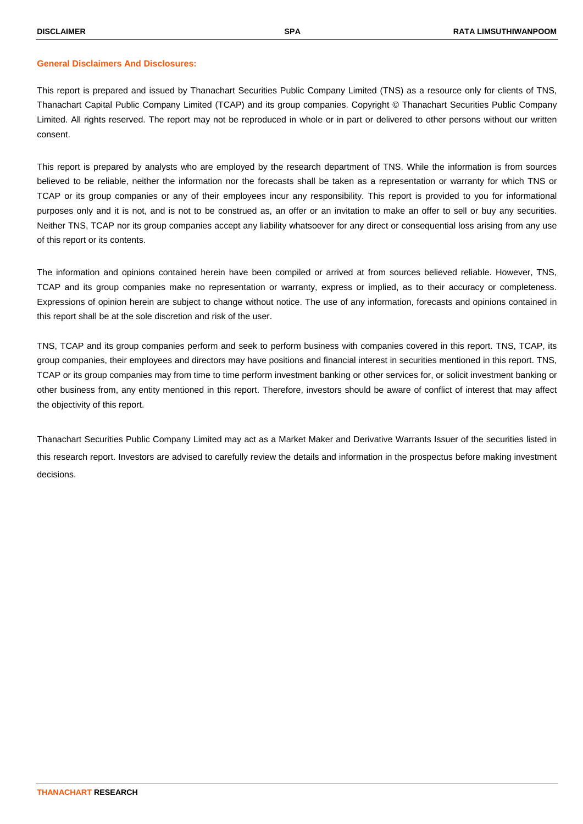#### **General Disclaimers And Disclosures:**

This report is prepared and issued by Thanachart Securities Public Company Limited (TNS) as a resource only for clients of TNS, Thanachart Capital Public Company Limited (TCAP) and its group companies. Copyright © Thanachart Securities Public Company Limited. All rights reserved. The report may not be reproduced in whole or in part or delivered to other persons without our written consent.

This report is prepared by analysts who are employed by the research department of TNS. While the information is from sources believed to be reliable, neither the information nor the forecasts shall be taken as a representation or warranty for which TNS or TCAP or its group companies or any of their employees incur any responsibility. This report is provided to you for informational purposes only and it is not, and is not to be construed as, an offer or an invitation to make an offer to sell or buy any securities. Neither TNS, TCAP nor its group companies accept any liability whatsoever for any direct or consequential loss arising from any use of this report or its contents.

The information and opinions contained herein have been compiled or arrived at from sources believed reliable. However, TNS, TCAP and its group companies make no representation or warranty, express or implied, as to their accuracy or completeness. Expressions of opinion herein are subject to change without notice. The use of any information, forecasts and opinions contained in this report shall be at the sole discretion and risk of the user.

TNS, TCAP and its group companies perform and seek to perform business with companies covered in this report. TNS, TCAP, its group companies, their employees and directors may have positions and financial interest in securities mentioned in this report. TNS, TCAP or its group companies may from time to time perform investment banking or other services for, or solicit investment banking or other business from, any entity mentioned in this report. Therefore, investors should be aware of conflict of interest that may affect the objectivity of this report.

Thanachart Securities Public Company Limited may act as a Market Maker and Derivative Warrants Issuer of the securities listed in this research report. Investors are advised to carefully review the details and information in the prospectus before making investment decisions.